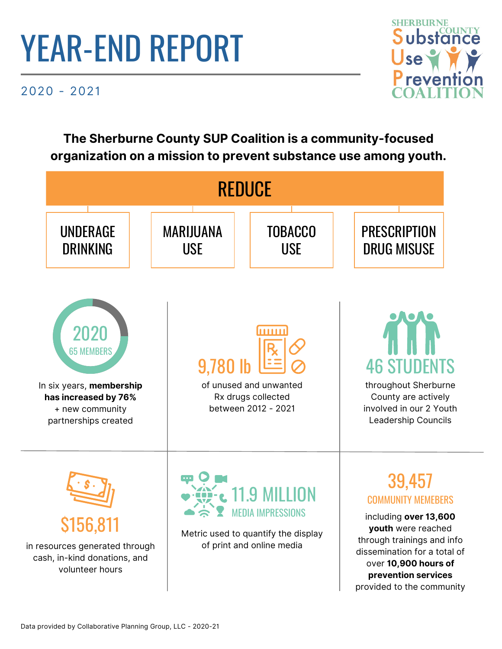# YEAR-END REPORT



2020 - 2021

#### **The Sherburne County SUP Coalition is a community-focused organization on a mission to prevent substance use among youth.**